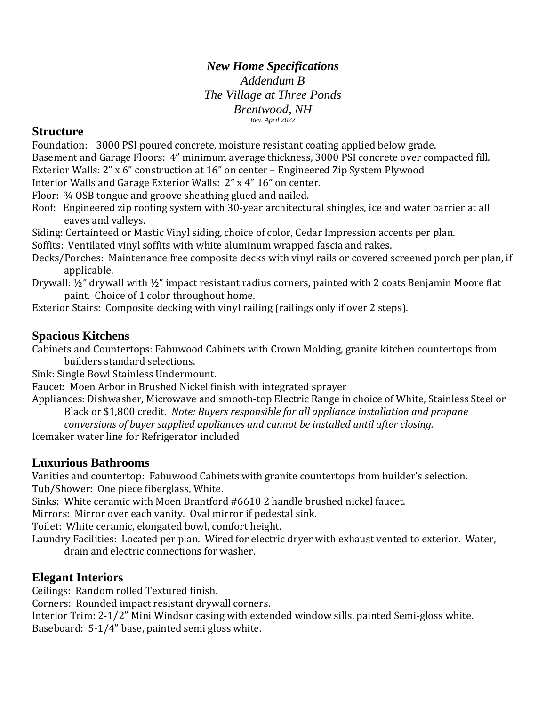# *New Home Specifications*

*Addendum B The Village at Three Ponds Brentwood, NH Rev. April 2022*

### **Structure**

Foundation: 3000 PSI poured concrete, moisture resistant coating applied below grade. Basement and Garage Floors: 4" minimum average thickness, 3000 PSI concrete over compacted fill. Exterior Walls: 2" x 6" construction at 16" on center – Engineered Zip System Plywood Interior Walls and Garage Exterior Walls: 2" x 4" 16" on center.

Floor: ¾ OSB tongue and groove sheathing glued and nailed.

Roof: Engineered zip roofing system with 30-year architectural shingles, ice and water barrier at all eaves and valleys.

Siding: Certainteed or Mastic Vinyl siding, choice of color, Cedar Impression accents per plan. Soffits: Ventilated vinyl soffits with white aluminum wrapped fascia and rakes.

Decks/Porches: Maintenance free composite decks with vinyl rails or covered screened porch per plan, if applicable.

Drywall: ½" drywall with ½" impact resistant radius corners, painted with 2 coats Benjamin Moore flat paint. Choice of 1 color throughout home.

Exterior Stairs: Composite decking with vinyl railing (railings only if over 2 steps).

### **Spacious Kitchens**

Cabinets and Countertops: Fabuwood Cabinets with Crown Molding, granite kitchen countertops from builders standard selections.

Sink: Single Bowl Stainless Undermount.

Faucet: Moen Arbor in Brushed Nickel finish with integrated sprayer

Appliances: Dishwasher, Microwave and smooth-top Electric Range in choice of White, Stainless Steel or Black or \$1,800 credit. *Note: Buyers responsible for all appliance installation and propane* 

*conversions of buyer supplied appliances and cannot be installed until after closing.*

Icemaker water line for Refrigerator included

## **Luxurious Bathrooms**

Vanities and countertop: Fabuwood Cabinets with granite countertops from builder's selection. Tub/Shower: One piece fiberglass, White.

Sinks: White ceramic with Moen Brantford #6610 2 handle brushed nickel faucet.

Mirrors: Mirror over each vanity. Oval mirror if pedestal sink.

Toilet: White ceramic, elongated bowl, comfort height.

Laundry Facilities: Located per plan. Wired for electric dryer with exhaust vented to exterior. Water, drain and electric connections for washer.

## **Elegant Interiors**

Ceilings: Random rolled Textured finish.

Corners: Rounded impact resistant drywall corners.

Interior Trim: 2-1/2" Mini Windsor casing with extended window sills, painted Semi-gloss white. Baseboard: 5-1/4" base, painted semi gloss white.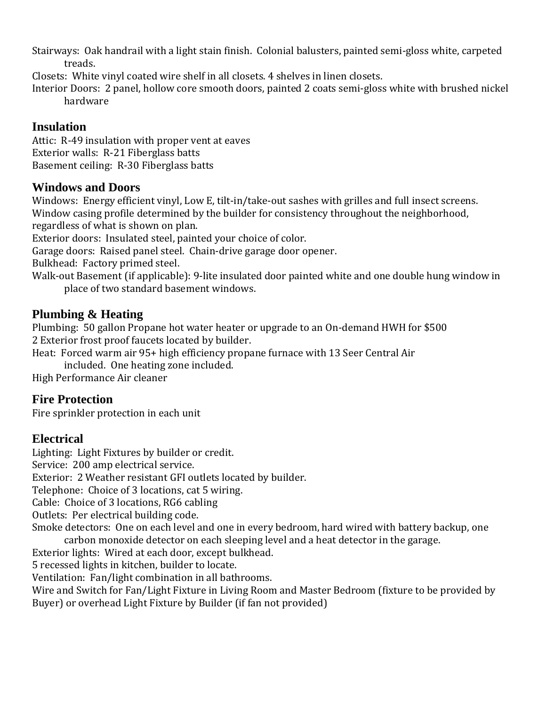Stairways: Oak handrail with a light stain finish. Colonial balusters, painted semi-gloss white, carpeted treads.

Closets: White vinyl coated wire shelf in all closets. 4 shelves in linen closets.

Interior Doors: 2 panel, hollow core smooth doors, painted 2 coats semi-gloss white with brushed nickel hardware

## **Insulation**

Attic: R-49 insulation with proper vent at eaves Exterior walls: R-21 Fiberglass batts Basement ceiling: R-30 Fiberglass batts

## **Windows and Doors**

Windows: Energy efficient vinyl, Low E, tilt-in/take-out sashes with grilles and full insect screens. Window casing profile determined by the builder for consistency throughout the neighborhood, regardless of what is shown on plan.

Exterior doors: Insulated steel, painted your choice of color.

Garage doors: Raised panel steel. Chain-drive garage door opener.

Bulkhead: Factory primed steel.

Walk-out Basement (if applicable): 9-lite insulated door painted white and one double hung window in place of two standard basement windows.

## **Plumbing & Heating**

Plumbing: 50 gallon Propane hot water heater or upgrade to an On-demand HWH for \$500 2 Exterior frost proof faucets located by builder.

Heat: Forced warm air 95+ high efficiency propane furnace with 13 Seer Central Air

included. One heating zone included.

High Performance Air cleaner

#### **Fire Protection**

Fire sprinkler protection in each unit

## **Electrical**

Lighting: Light Fixtures by builder or credit. Service: 200 amp electrical service. Exterior: 2 Weather resistant GFI outlets located by builder. Telephone: Choice of 3 locations, cat 5 wiring. Cable: Choice of 3 locations, RG6 cabling Outlets: Per electrical building code. Smoke detectors: One on each level and one in every bedroom, hard wired with battery backup, one carbon monoxide detector on each sleeping level and a heat detector in the garage.

Exterior lights: Wired at each door, except bulkhead.

5 recessed lights in kitchen, builder to locate.

Ventilation: Fan/light combination in all bathrooms.

Wire and Switch for Fan/Light Fixture in Living Room and Master Bedroom (fixture to be provided by Buyer) or overhead Light Fixture by Builder (if fan not provided)